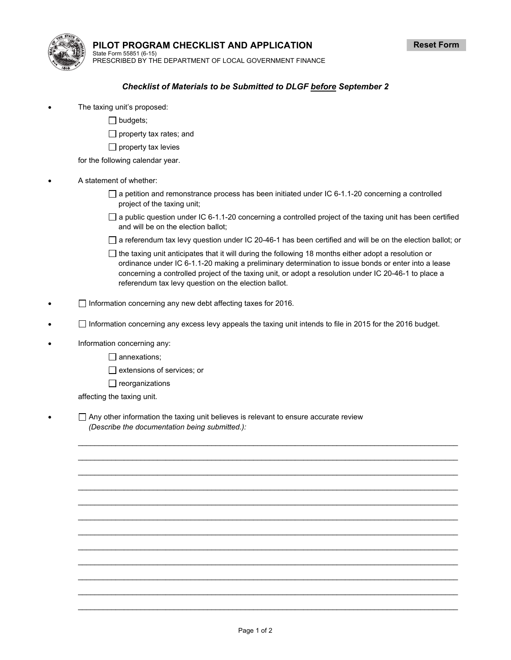

**PILOT PROGRAM CHECKLIST AND APPLICATION**  State Form 55851 (6-15)

PRESCRIBED BY THE DEPARTMENT OF LOCAL GOVERNMENT FINANCE

## *Checklist of Materials to be Submitted to DLGF before September 2*

- The taxing unit's proposed:
	- $\Box$  budgets;
	- $\Box$  property tax rates; and
	- $\Box$  property tax levies
	- for the following calendar year.
- A statement of whether:
	- $\Box$  a petition and remonstrance process has been initiated under IC 6-1.1-20 concerning a controlled project of the taxing unit;
	- $\Box$  a public question under IC 6-1.1-20 concerning a controlled project of the taxing unit has been certified and will be on the election ballot;
	- $\Box$  a referendum tax levy question under IC 20-46-1 has been certified and will be on the election ballot; or
	- $\Box$  the taxing unit anticipates that it will during the following 18 months either adopt a resolution or ordinance under IC 6-1.1-20 making a preliminary determination to issue bonds or enter into a lease concerning a controlled project of the taxing unit, or adopt a resolution under IC 20-46-1 to place a referendum tax levy question on the election ballot.
- $\Box$  Information concerning any new debt affecting taxes for 2016.
- $\Box$  Information concerning any excess levy appeals the taxing unit intends to file in 2015 for the 2016 budget.

 $\mathcal{L}=\mathcal{L}=\mathcal{L}=\mathcal{L}=\mathcal{L}=\mathcal{L}=\mathcal{L}=\mathcal{L}=\mathcal{L}=\mathcal{L}=\mathcal{L}=\mathcal{L}=\mathcal{L}=\mathcal{L}=\mathcal{L}=\mathcal{L}=\mathcal{L}=\mathcal{L}=\mathcal{L}=\mathcal{L}=\mathcal{L}=\mathcal{L}=\mathcal{L}=\mathcal{L}=\mathcal{L}=\mathcal{L}=\mathcal{L}=\mathcal{L}=\mathcal{L}=\mathcal{L}=\mathcal{L}=\mathcal{L}=\mathcal{L}=\mathcal{L}=\mathcal{L}=\mathcal{L}=\mathcal{$  $\mathcal{L}=\mathcal{L}=\mathcal{L}=\mathcal{L}=\mathcal{L}=\mathcal{L}=\mathcal{L}=\mathcal{L}=\mathcal{L}=\mathcal{L}=\mathcal{L}=\mathcal{L}=\mathcal{L}=\mathcal{L}=\mathcal{L}=\mathcal{L}=\mathcal{L}=\mathcal{L}=\mathcal{L}=\mathcal{L}=\mathcal{L}=\mathcal{L}=\mathcal{L}=\mathcal{L}=\mathcal{L}=\mathcal{L}=\mathcal{L}=\mathcal{L}=\mathcal{L}=\mathcal{L}=\mathcal{L}=\mathcal{L}=\mathcal{L}=\mathcal{L}=\mathcal{L}=\mathcal{L}=\mathcal{$  $\mathcal{L}=\mathcal{L}=\mathcal{L}=\mathcal{L}=\mathcal{L}=\mathcal{L}=\mathcal{L}=\mathcal{L}=\mathcal{L}=\mathcal{L}=\mathcal{L}=\mathcal{L}=\mathcal{L}=\mathcal{L}=\mathcal{L}=\mathcal{L}=\mathcal{L}=\mathcal{L}=\mathcal{L}=\mathcal{L}=\mathcal{L}=\mathcal{L}=\mathcal{L}=\mathcal{L}=\mathcal{L}=\mathcal{L}=\mathcal{L}=\mathcal{L}=\mathcal{L}=\mathcal{L}=\mathcal{L}=\mathcal{L}=\mathcal{L}=\mathcal{L}=\mathcal{L}=\mathcal{L}=\mathcal{$  $\mathcal{L}=\mathcal{L}=\mathcal{L}=\mathcal{L}=\mathcal{L}=\mathcal{L}=\mathcal{L}=\mathcal{L}=\mathcal{L}=\mathcal{L}=\mathcal{L}=\mathcal{L}=\mathcal{L}=\mathcal{L}=\mathcal{L}=\mathcal{L}=\mathcal{L}=\mathcal{L}=\mathcal{L}=\mathcal{L}=\mathcal{L}=\mathcal{L}=\mathcal{L}=\mathcal{L}=\mathcal{L}=\mathcal{L}=\mathcal{L}=\mathcal{L}=\mathcal{L}=\mathcal{L}=\mathcal{L}=\mathcal{L}=\mathcal{L}=\mathcal{L}=\mathcal{L}=\mathcal{L}=\mathcal{$  $\mathcal{L}=\mathcal{L}=\mathcal{L}=\mathcal{L}=\mathcal{L}=\mathcal{L}=\mathcal{L}=\mathcal{L}=\mathcal{L}=\mathcal{L}=\mathcal{L}=\mathcal{L}=\mathcal{L}=\mathcal{L}=\mathcal{L}=\mathcal{L}=\mathcal{L}=\mathcal{L}=\mathcal{L}=\mathcal{L}=\mathcal{L}=\mathcal{L}=\mathcal{L}=\mathcal{L}=\mathcal{L}=\mathcal{L}=\mathcal{L}=\mathcal{L}=\mathcal{L}=\mathcal{L}=\mathcal{L}=\mathcal{L}=\mathcal{L}=\mathcal{L}=\mathcal{L}=\mathcal{L}=\mathcal{$  $\mathcal{L}=\mathcal{L}=\mathcal{L}=\mathcal{L}=\mathcal{L}=\mathcal{L}=\mathcal{L}=\mathcal{L}=\mathcal{L}=\mathcal{L}=\mathcal{L}=\mathcal{L}=\mathcal{L}=\mathcal{L}=\mathcal{L}=\mathcal{L}=\mathcal{L}=\mathcal{L}=\mathcal{L}=\mathcal{L}=\mathcal{L}=\mathcal{L}=\mathcal{L}=\mathcal{L}=\mathcal{L}=\mathcal{L}=\mathcal{L}=\mathcal{L}=\mathcal{L}=\mathcal{L}=\mathcal{L}=\mathcal{L}=\mathcal{L}=\mathcal{L}=\mathcal{L}=\mathcal{L}=\mathcal{$  $\mathcal{L}=\mathcal{L}=\mathcal{L}=\mathcal{L}=\mathcal{L}=\mathcal{L}=\mathcal{L}=\mathcal{L}=\mathcal{L}=\mathcal{L}=\mathcal{L}=\mathcal{L}=\mathcal{L}=\mathcal{L}=\mathcal{L}=\mathcal{L}=\mathcal{L}=\mathcal{L}=\mathcal{L}=\mathcal{L}=\mathcal{L}=\mathcal{L}=\mathcal{L}=\mathcal{L}=\mathcal{L}=\mathcal{L}=\mathcal{L}=\mathcal{L}=\mathcal{L}=\mathcal{L}=\mathcal{L}=\mathcal{L}=\mathcal{L}=\mathcal{L}=\mathcal{L}=\mathcal{L}=\mathcal{$  $\mathcal{L}=\mathcal{L}=\mathcal{L}=\mathcal{L}=\mathcal{L}=\mathcal{L}=\mathcal{L}=\mathcal{L}=\mathcal{L}=\mathcal{L}=\mathcal{L}=\mathcal{L}=\mathcal{L}=\mathcal{L}=\mathcal{L}=\mathcal{L}=\mathcal{L}=\mathcal{L}=\mathcal{L}=\mathcal{L}=\mathcal{L}=\mathcal{L}=\mathcal{L}=\mathcal{L}=\mathcal{L}=\mathcal{L}=\mathcal{L}=\mathcal{L}=\mathcal{L}=\mathcal{L}=\mathcal{L}=\mathcal{L}=\mathcal{L}=\mathcal{L}=\mathcal{L}=\mathcal{L}=\mathcal{$  $\mathcal{L}=\mathcal{L}=\mathcal{L}=\mathcal{L}=\mathcal{L}=\mathcal{L}=\mathcal{L}=\mathcal{L}=\mathcal{L}=\mathcal{L}=\mathcal{L}=\mathcal{L}=\mathcal{L}=\mathcal{L}=\mathcal{L}=\mathcal{L}=\mathcal{L}=\mathcal{L}=\mathcal{L}=\mathcal{L}=\mathcal{L}=\mathcal{L}=\mathcal{L}=\mathcal{L}=\mathcal{L}=\mathcal{L}=\mathcal{L}=\mathcal{L}=\mathcal{L}=\mathcal{L}=\mathcal{L}=\mathcal{L}=\mathcal{L}=\mathcal{L}=\mathcal{L}=\mathcal{L}=\mathcal{$  $\mathcal{L}=\mathcal{L}=\mathcal{L}=\mathcal{L}=\mathcal{L}=\mathcal{L}=\mathcal{L}=\mathcal{L}=\mathcal{L}=\mathcal{L}=\mathcal{L}=\mathcal{L}=\mathcal{L}=\mathcal{L}=\mathcal{L}=\mathcal{L}=\mathcal{L}=\mathcal{L}=\mathcal{L}=\mathcal{L}=\mathcal{L}=\mathcal{L}=\mathcal{L}=\mathcal{L}=\mathcal{L}=\mathcal{L}=\mathcal{L}=\mathcal{L}=\mathcal{L}=\mathcal{L}=\mathcal{L}=\mathcal{L}=\mathcal{L}=\mathcal{L}=\mathcal{L}=\mathcal{L}=\mathcal{$  $\mathcal{L}=\mathcal{L}=\mathcal{L}=\mathcal{L}=\mathcal{L}=\mathcal{L}=\mathcal{L}=\mathcal{L}=\mathcal{L}=\mathcal{L}=\mathcal{L}=\mathcal{L}=\mathcal{L}=\mathcal{L}=\mathcal{L}=\mathcal{L}=\mathcal{L}=\mathcal{L}=\mathcal{L}=\mathcal{L}=\mathcal{L}=\mathcal{L}=\mathcal{L}=\mathcal{L}=\mathcal{L}=\mathcal{L}=\mathcal{L}=\mathcal{L}=\mathcal{L}=\mathcal{L}=\mathcal{L}=\mathcal{L}=\mathcal{L}=\mathcal{L}=\mathcal{L}=\mathcal{L}=\mathcal{$  $\mathcal{L}=\mathcal{L}=\mathcal{L}=\mathcal{L}=\mathcal{L}=\mathcal{L}=\mathcal{L}=\mathcal{L}=\mathcal{L}=\mathcal{L}=\mathcal{L}=\mathcal{L}=\mathcal{L}=\mathcal{L}=\mathcal{L}=\mathcal{L}=\mathcal{L}=\mathcal{L}=\mathcal{L}=\mathcal{L}=\mathcal{L}=\mathcal{L}=\mathcal{L}=\mathcal{L}=\mathcal{L}=\mathcal{L}=\mathcal{L}=\mathcal{L}=\mathcal{L}=\mathcal{L}=\mathcal{L}=\mathcal{L}=\mathcal{L}=\mathcal{L}=\mathcal{L}=\mathcal{L}=\mathcal{$ 

- Information concerning any:
	- □ annexations;
	- $\Box$  extensions of services; or
	- $\Box$  reorganizations

affecting the taxing unit.

 $\Box$  Any other information the taxing unit believes is relevant to ensure accurate review *(Describe the documentation being submitted.):*